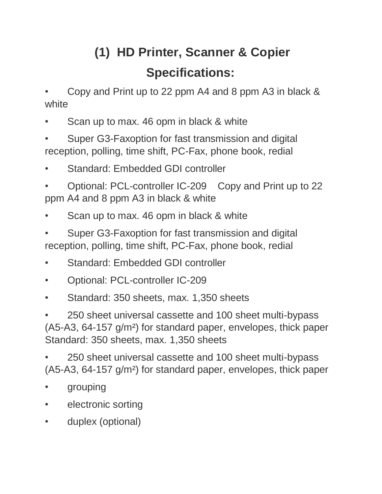# **(1) HD Printer, Scanner & Copier Specifications:**

• Copy and Print up to 22 ppm A4 and 8 ppm A3 in black & white

- Scan up to max. 46 opm in black & white
- Super G3-Faxoption for fast transmission and digital reception, polling, time shift, PC-Fax, phone book, redial
- Standard: Embedded GDI controller
- Optional: PCL-controller IC-209 Copy and Print up to 22 ppm A4 and 8 ppm A3 in black & white
- Scan up to max. 46 opm in black & white
- Super G3-Faxoption for fast transmission and digital reception, polling, time shift, PC-Fax, phone book, redial
- Standard: Embedded GDI controller
- Optional: PCL-controller IC-209
- Standard: 350 sheets, max. 1,350 sheets

• 250 sheet universal cassette and 100 sheet multi-bypass (A5-A3, 64-157 g/m²) for standard paper, envelopes, thick paper Standard: 350 sheets, max. 1,350 sheets

• 250 sheet universal cassette and 100 sheet multi-bypass (A5-A3, 64-157 g/m²) for standard paper, envelopes, thick paper

- grouping
- electronic sorting
- duplex (optional)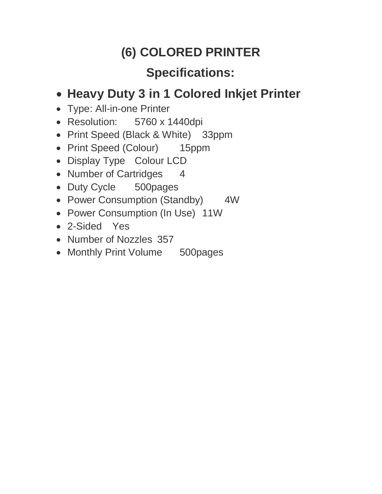## **(6) COLORED PRINTER**

## **Specifications:**

#### **Heavy Duty 3 in 1 Colored Inkjet Printer**

- Type: All-in-one Printer
- Resolution: 5760 x 1440dpi
- Print Speed (Black & White) 33ppm
- Print Speed (Colour) 15ppm
- Display Type Colour LCD
- Number of Cartridges 4
- Duty Cycle 500pages
- Power Consumption (Standby) 4W
- Power Consumption (In Use) 11W
- 2-Sided Yes
- Number of Nozzles 357
- Monthly Print Volume 500pages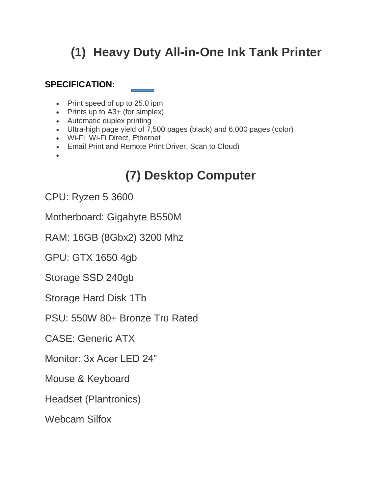## **(1) Heavy Duty All-in-One Ink Tank Printer**

#### **SPECIFICATION:**

- Print speed of up to 25.0 ipm
- Prints up to A3+ (for simplex)
- Automatic duplex printing
- Ultra-high page yield of 7,500 pages (black) and 6,000 pages (color)
- Wi-Fi, Wi-Fi Direct, Ethernet
- Email Print and Remote Print Driver, Scan to Cloud)
- $\bullet$

## **(7) Desktop Computer**

CPU: Ryzen 5 3600

Motherboard: Gigabyte B550M

RAM: 16GB (8Gbx2) 3200 Mhz

GPU: GTX 1650 4gb

Storage SSD 240gb

Storage Hard Disk 1Tb

PSU: 550W 80+ Bronze Tru Rated

CASE: Generic ATX

Monitor: 3x Acer LED 24"

Mouse & Keyboard

Headset (Plantronics)

Webcam Silfox